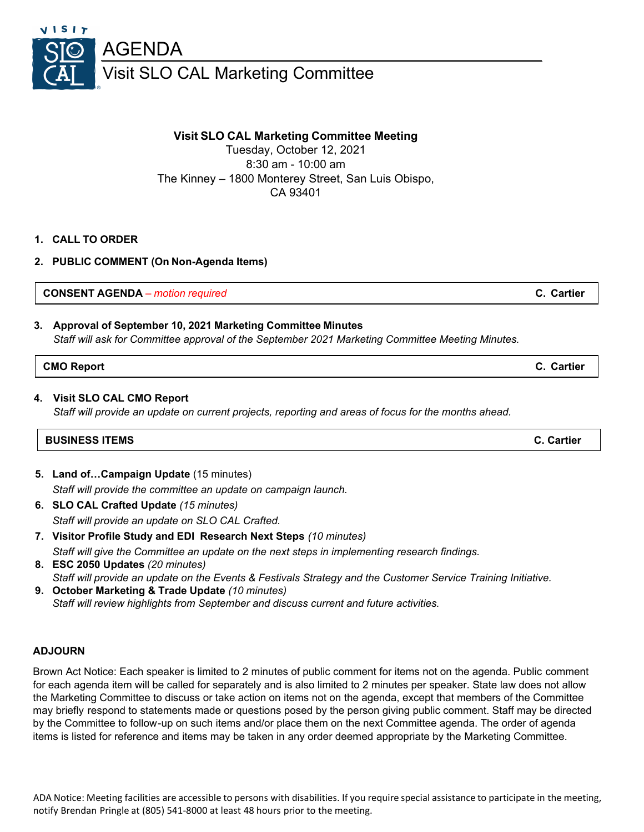

# **Visit SLO CAL Marketing Committee Meeting**

Tuesday, October 12, 2021 8:30 am - 10:00 am The Kinney – 1800 Monterey Street, San Luis Obispo, CA 93401

## **1. CALL TO ORDER**

**2. PUBLIC COMMENT (On Non-Agenda Items)**

**CONSENT AGENDA** *– motion required* **C. Cartier**

## **3. Approval of September 10, 2021 Marketing Committee Minutes** *Staff will ask for Committee approval of the September 2021 Marketing Committee Meeting Minutes.*

#### **CMO Report C. Cartier**

#### **4. Visit SLO CAL CMO Report**

*Staff will provide an update on current projects, reporting and areas of focus for the months ahead.*

## **BUSINESS ITEMS C. Cartier**

- **5. Land of…Campaign Update** (15 minutes) *Staff will provide the committee an update on campaign launch.*
- **6. SLO CAL Crafted Update** *(15 minutes)*

*Staff will provide an update on SLO CAL Crafted.*

- **7. Visitor Profile Study and EDI Research Next Steps** *(10 minutes) Staff will give the Committee an update on the next steps in implementing research findings.*
- **8. ESC 2050 Updates** *(20 minutes) Staff will provide an update on the Events & Festivals Strategy and the Customer Service Training Initiative.*
- **9. October Marketing & Trade Update** *(10 minutes) Staff will review highlights from September and discuss current and future activities.*

#### **ADJOURN**

Brown Act Notice: Each speaker is limited to 2 minutes of public comment for items not on the agenda. Public comment for each agenda item will be called for separately and is also limited to 2 minutes per speaker. State law does not allow the Marketing Committee to discuss or take action on items not on the agenda, except that members of the Committee may briefly respond to statements made or questions posed by the person giving public comment. Staff may be directed by the Committee to follow-up on such items and/or place them on the next Committee agenda. The order of agenda items is listed for reference and items may be taken in any order deemed appropriate by the Marketing Committee.

ADA Notice: Meeting facilities are accessible to persons with disabilities. If you require special assistance to participate in the meeting, notify Brendan Pringle at (805) 541-8000 at least 48 hours prior to the meeting.